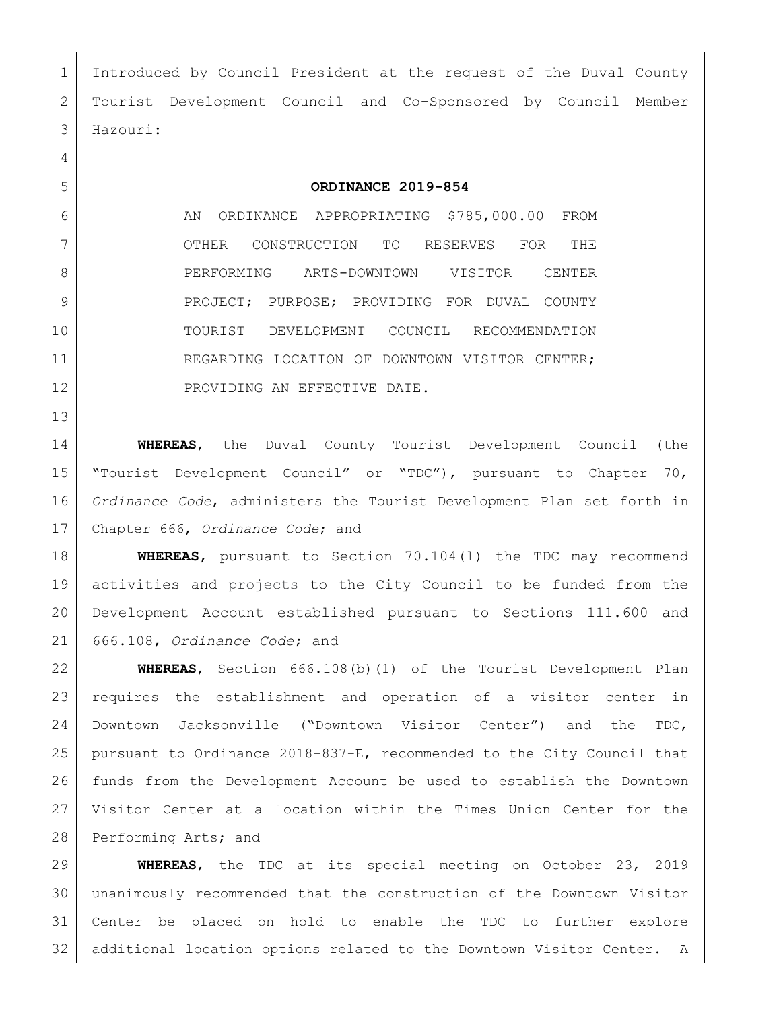Introduced by Council President at the request of the Duval County Tourist Development Council and Co-Sponsored by Council Member Hazouri:

## **ORDINANCE 2019-854**

6 AN ORDINANCE APPROPRIATING \$785,000.00 FROM OTHER CONSTRUCTION TO RESERVES FOR THE 8 PERFORMING ARTS-DOWNTOWN VISITOR CENTER 9 | PROJECT; PURPOSE; PROVIDING FOR DUVAL COUNTY TOURIST DEVELOPMENT COUNCIL RECOMMENDATION 11 REGARDING LOCATION OF DOWNTOWN VISITOR CENTER; 12 PROVIDING AN EFFECTIVE DATE.

 **WHEREAS**, the Duval County Tourist Development Council (the "Tourist Development Council" or "TDC"), pursuant to Chapter 70, *Ordinance Code*, administers the Tourist Development Plan set forth in Chapter 666, *Ordinance Code*; and

 **WHEREAS**, pursuant to Section 70.104(l) the TDC may recommend activities and projects to the City Council to be funded from the Development Account established pursuant to Sections 111.600 and 666.108, *Ordinance Code*; and

 **WHEREAS**, Section 666.108(b)(1) of the Tourist Development Plan requires the establishment and operation of a visitor center in Downtown Jacksonville ("Downtown Visitor Center") and the TDC, pursuant to Ordinance 2018-837-E, recommended to the City Council that funds from the Development Account be used to establish the Downtown Visitor Center at a location within the Times Union Center for the 28 Performing Arts; and

 **WHEREAS**, the TDC at its special meeting on October 23, 2019 unanimously recommended that the construction of the Downtown Visitor Center be placed on hold to enable the TDC to further explore additional location options related to the Downtown Visitor Center. A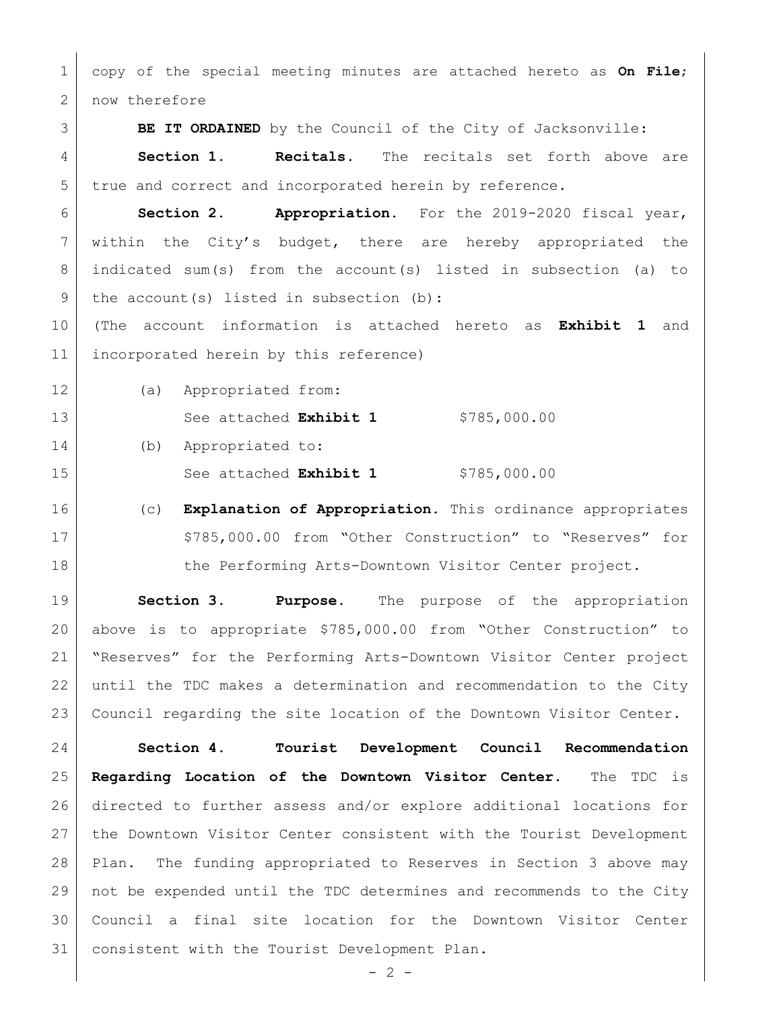copy of the special meeting minutes are attached hereto as **On File**; 2 now therefore

**BE IT ORDAINED** by the Council of the City of Jacksonville:

 **Section 1. Recitals.** The recitals set forth above are true and correct and incorporated herein by reference.

 **Section 2. Appropriation.** For the 2019-2020 fiscal year, 7 | within the City's budget, there are hereby appropriated the indicated sum(s) from the account(s) listed in subsection (a) to 9 | the account (s) listed in subsection  $(b)$ :

 (The account information is attached hereto as **Exhibit 1** and incorporated herein by this reference)

(a) Appropriated from:

13 See attached **Exhibit 1** \$785,000.00 (b) Appropriated to: 15 See attached **Exhibit 1** \$785,000.00

 (c) **Explanation of Appropriation.** This ordinance appropriates 17 | \$785,000.00 from "Other Construction" to "Reserves" for 18 the Performing Arts-Downtown Visitor Center project.

 **Section 3**. **Purpose.** The purpose of the appropriation above is to appropriate \$785,000.00 from "Other Construction" to "Reserves" for the Performing Arts-Downtown Visitor Center project until the TDC makes a determination and recommendation to the City Council regarding the site location of the Downtown Visitor Center.

 **Section 4. Tourist Development Council Recommendation Regarding Location of the Downtown Visitor Center.** The TDC is directed to further assess and/or explore additional locations for 27 | the Downtown Visitor Center consistent with the Tourist Development Plan. The funding appropriated to Reserves in Section 3 above may not be expended until the TDC determines and recommends to the City Council a final site location for the Downtown Visitor Center consistent with the Tourist Development Plan.